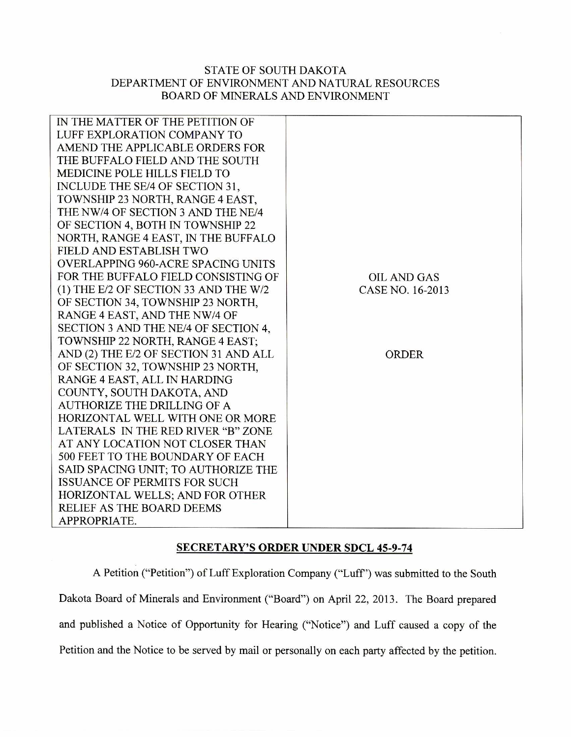## STATE OF SOUTH DAKOTA DEPARTMENT OF ENVIRONMENT AND NATURAL RESOURCES BOARD OF MINERALS AND ENVIRONMENT

| IN THE MATTER OF THE PETITION OF      |                    |
|---------------------------------------|--------------------|
| LUFF EXPLORATION COMPANY TO           |                    |
| AMEND THE APPLICABLE ORDERS FOR       |                    |
| THE BUFFALO FIELD AND THE SOUTH       |                    |
| <b>MEDICINE POLE HILLS FIELD TO</b>   |                    |
| INCLUDE THE SE/4 OF SECTION 31,       |                    |
| TOWNSHIP 23 NORTH, RANGE 4 EAST,      |                    |
| THE NW/4 OF SECTION 3 AND THE NE/4    |                    |
| OF SECTION 4, BOTH IN TOWNSHIP 22     |                    |
| NORTH, RANGE 4 EAST, IN THE BUFFALO   |                    |
| FIELD AND ESTABLISH TWO               |                    |
| OVERLAPPING 960-ACRE SPACING UNITS    |                    |
| FOR THE BUFFALO FIELD CONSISTING OF   | <b>OIL AND GAS</b> |
| (1) THE E/2 OF SECTION 33 AND THE W/2 | CASE NO. 16-2013   |
| OF SECTION 34, TOWNSHIP 23 NORTH,     |                    |
| RANGE 4 EAST, AND THE NW/4 OF         |                    |
| SECTION 3 AND THE NE/4 OF SECTION 4,  |                    |
| TOWNSHIP 22 NORTH, RANGE 4 EAST;      |                    |
| AND (2) THE E/2 OF SECTION 31 AND ALL | <b>ORDER</b>       |
| OF SECTION 32, TOWNSHIP 23 NORTH,     |                    |
| RANGE 4 EAST, ALL IN HARDING          |                    |
| COUNTY, SOUTH DAKOTA, AND             |                    |
| <b>AUTHORIZE THE DRILLING OF A</b>    |                    |
| HORIZONTAL WELL WITH ONE OR MORE      |                    |
| LATERALS IN THE RED RIVER "B" ZONE    |                    |
| AT ANY LOCATION NOT CLOSER THAN       |                    |
| 500 FEET TO THE BOUNDARY OF EACH      |                    |
| SAID SPACING UNIT; TO AUTHORIZE THE   |                    |
| <b>ISSUANCE OF PERMITS FOR SUCH</b>   |                    |
| HORIZONTAL WELLS; AND FOR OTHER       |                    |
| <b>RELIEF AS THE BOARD DEEMS</b>      |                    |
| APPROPRIATE.                          |                    |

## **SECRETARY'S ORDER UNDER SDCL 45-9-74**

A Petition ("Petition") of Luff Exploration Company ("Luff') was submitted to the South Dakota Board of Minerals and Environment ("Board") on April 22, 2013. The Board prepared and published a Notice of Opportunity for Hearing ("Notice") and Luff caused a copy of the Petition and the Notice to be served by mail or personally on each party affected by the petition.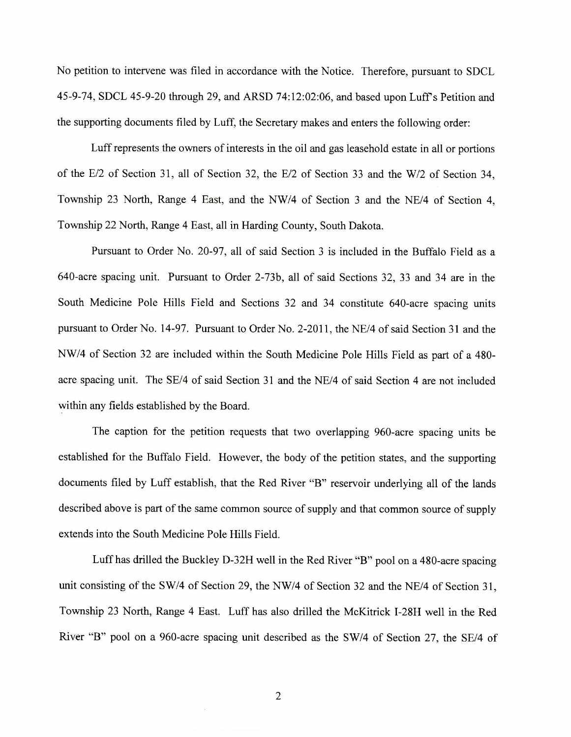No petition to intervene was filed in accordance with the Notice. Therefore, pursuant to SDCL 45-9-74, SDCL 45-9-20 through 29, and ARSD 74:12:02:06, and based upon Luff's Petition and the supporting documents filed by Luff, the Secretary makes and enters the following order:

Luff represents the owners of interests in the oil and gas leasehold estate in all or portions of the E/2 of Section 31, all of Section 32, the E/2 of Section 33 and the W/2 of Section 34, Township 23 North, Range 4 East, and the NW/4 of Section 3 and the NE/4 of Section 4, Township 22 North, Range 4 East, all in Harding County, South Dakota.

Pursuant to Order No. 20-97, all of said Section 3 is included in the Buffalo Field as a 640-acre spacing unit. Pursuant to Order 2-73b, all of said Sections 32, 33 and 34 are in the South Medicine Pole Hills Field and Sections 32 and 34 constitute 640-acre spacing units pursuant to Order No. 14-97. Pursuant to Order No. 2-2011, the NE/4 of said Section 31 and the NW/4 of Section 32 are included within the South Medicine Pole Hills Field as part of a 480 acre spacing unit. The SE/4 of said Section 31 and the NE/4 of said Section 4 are not included within any fields established by the Board.

The caption for the petition requests that two overlapping 960-acre spacing units be established for the Buffalo Field. However, the body of the petition states, and the supporting documents filed by Luff establish, that the Red River "B" reservoir underlying all of the lands described above is part of the same common source of supply and that common source of supply extends into the South Medicine Pole Hills Field.

Luff has drilled the Buckley D-32H well in the Red River "B" pool on a 480-acre spacing unit consisting of the SW/4 of Section 29, the NW/4 of Section 32 and the NE/4 of Section 31, Township 23 North, Range 4 East. Luff has also drilled the McKitrick 1-28H well in the Red River "B" pool on a 960-acre spacing unit described as the SW/4 of Section 27, the SE/4 of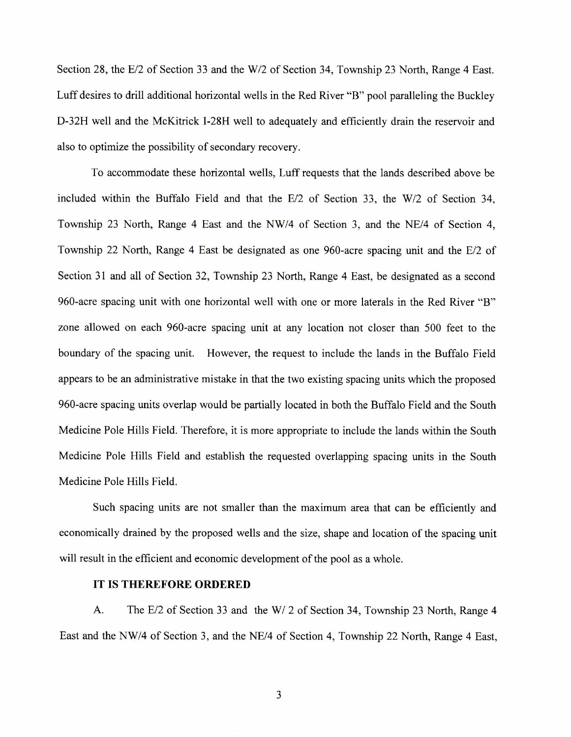Section 28, the E/2 of Section 33 and the W/2 of Section 34, Township 23 North, Range 4 East. Luff desires to drill additional horizontal wells in the Red River "B" pool paralleling the Buckley D-32H well and the McKitrick I-28H well to adequately and efficiently drain the reservoir and also to optimize the possibility of secondary recovery.

To accommodate these horizontal wells, Luff requests that the lands described above be included within the Buffalo Field and that the E/2 of Section 33, the W/2 of Section 34, Township 23 North, Range 4 East and the NW/4 of Section 3, and the NE/4 of Section 4, Township 22 North, Range 4 East be designated as one 960-acre spacing unit and the E/2 of Section 31 and all of Section 32, Township 23 North, Range 4 East, be designated as a second 960-acre spacing unit with one horizontal well with one or more laterals in the Red River "B" zone allowed on each 960-acre spacing unit at any location not closer than 500 feet to the boundary of the spacing unit. However, the request to include the lands in the Buffalo Field appears to be an administrative mistake in that the two existing spacing units which the proposed 960-acre spacing units overlap would be partially located in both the Buffalo Field and the South Medicine Pole Hills Field. Therefore, it is more appropriate to include the lands within the South Medicine Pole Hills Field and establish the requested overlapping spacing units in the South Medicine Pole Hills Field.

Such spacing units are not smaller than the maximum area that can be efficiently and economically drained by the proposed wells and the size, shape and location of the spacing unit will result in the efficient and economic development of the pool as a whole.

## **IT IS THEREFORE ORDERED**

A. The E/2 of Section 33 and the W/ 2 of Section 34, Township 23 North, Range 4 East and the NW/4 of Section 3, and the NE/4 of Section 4, Township 22 North, Range 4 East,